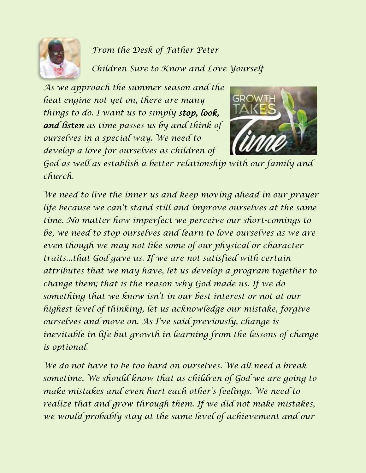

## *From the Desk of Father Peter*

*Children Sure to Know and Love Yourself*

*As we approach the summer season and the heat engine not yet on, there are many things to do. I want us to simply stop, look, and listen as time passes us by and think of ourselves in a special way. We need to develop a love for ourselves as children of* 



*God as well as establish a better relationship with our family and church.*

*We need to live the inner us and keep moving ahead in our prayer life because we can't stand still and improve ourselves at the same time. No matter how imperfect we perceive our short-comings to be, we need to stop ourselves and learn to love ourselves as we are even though we may not like some of our physical or character traits...that God gave us. If we are not satisfied with certain attributes that we may have, let us develop a program together to change them; that is the reason why God made us. If we do something that we know isn't in our best interest or not at our highest level of thinking, let us acknowledge our mistake, forgive ourselves and move on. As I've said previously, change is inevitable in life but growth in learning from the lessons of change is optional.*

*We do not have to be too hard on ourselves. We all need a break sometime. We should know that as children of God we are going to make mistakes and even hurt each other's feelings. We need to realize that and grow through them. If we did not make mistakes, we would probably stay at the same level of achievement and our*